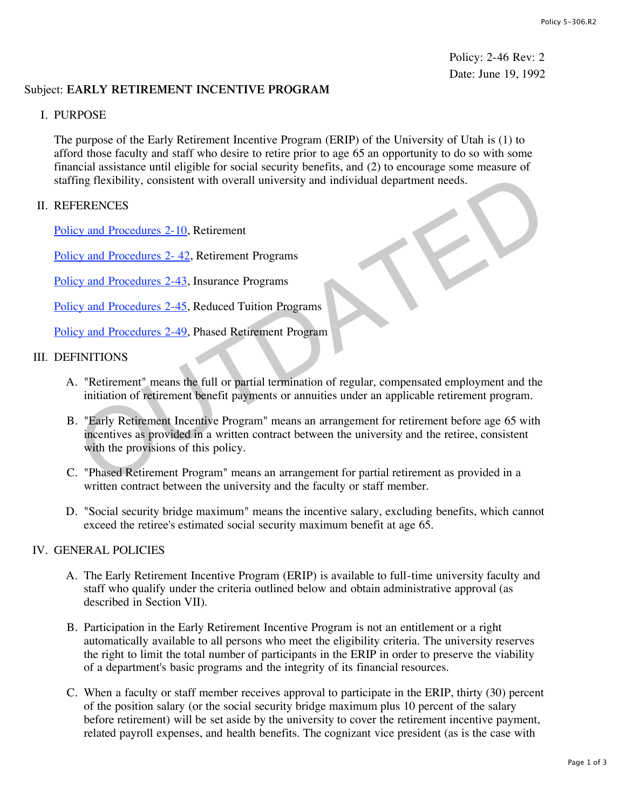Policy: 2-46 Rev: 2 Date: June 19, 1992

## Subject: **EARLY RETIREMENT INCENTIVE PROGRAM**

#### I. PURPOSE

The purpose of the Early Retirement Incentive Program (ERIP) of the University of Utah is (1) to afford those faculty and staff who desire to retire prior to age 65 an opportunity to do so with some financial assistance until eligible for social security benefits, and (2) to encourage some measure of staffing flexibility, consistent with overall university and individual department needs.

#### II. REFERENCES

Policy and Procedures 2-10, Retirement

Policy and Procedures 2-42, Retirement Programs

Policy and Procedures 2-43, Insurance Programs

Policy and Procedures 2-45, Reduced Tuition Programs

Policy and Procedures 2-49, Phased Retirement Program

#### III. DEFINITIONS

- A. "Retirement" means the full or partial termination of regular, compensated employment and the initiation of retirement benefit payments or annuities under an applicable retirement program.
- B. "Early Retirement Incentive Program" means an arrangement for retirement before age 65 with incentives as provided in a written contract between the university and the retiree, consistent with the provisions of this policy. The Flexibility, consistent with overall university and individual department needs.<br>
ERENCES<br>
ERENCES<br>
ERENCES<br>
EV and Procedures 2-42, Retirement Programs<br>
EV and Procedures 2-43, Insurance Programs<br>
EV and Procedures 2-
- C. "Phased Retirement Program" means an arrangement for partial retirement as provided in a written contract between the university and the faculty or staff member.
- D. "Social security bridge maximum" means the incentive salary, excluding benefits, which cannot exceed the retiree's estimated social security maximum benefit at age 65.

## IV. GENERAL POLICIES

- A. The Early Retirement Incentive Program (ERIP) is available to full-time university faculty and staff who qualify under the criteria outlined below and obtain administrative approval (as described in Section VII).
- B. Participation in the Early Retirement Incentive Program is not an entitlement or a right automatically available to all persons who meet the eligibility criteria. The university reserves the right to limit the total number of participants in the ERIP in order to preserve the viability of a department's basic programs and the integrity of its financial resources.
- C. When a faculty or staff member receives approval to participate in the ERIP, thirty (30) percent of the position salary (or the social security bridge maximum plus 10 percent of the salary before retirement) will be set aside by the university to cover the retirement incentive payment, related payroll expenses, and health benefits. The cognizant vice president (as is the case with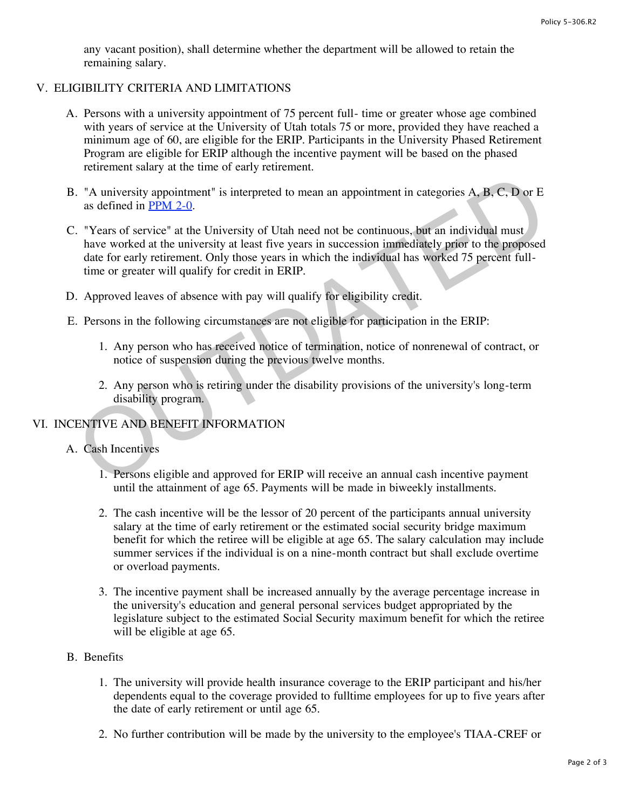any vacant position), shall determine whether the department will be allowed to retain the remaining salary.

## V. ELIGIBILITY CRITERIA AND LIMITATIONS

- A. Persons with a university appointment of 75 percent full- time or greater whose age combined with years of service at the University of Utah totals 75 or more, provided they have reached a minimum age of 60, are eligible for the ERIP. Participants in the University Phased Retirement Program are eligible for ERIP although the incentive payment will be based on the phased retirement salary at the time of early retirement.
- B. "A university appointment" is interpreted to mean an appointment in categories A, B, C, D or E as defined in PPM 2-0.
- C. "Years of service" at the University of Utah need not be continuous, but an individual must have worked at the university at least five years in succession immediately prior to the proposed date for early retirement. Only those years in which the individual has worked 75 percent fulltime or greater will qualify for credit in ERIP. Note that in the University appointment" is interpreted to mean an appointment in categories A, B, C, D or E<br>
Subseminate in PPM 2-0.<br>
Note as defined in PPM 2-0.<br>
Note as defined in PPM 2-0.<br>
Note as defined in PPM 2-0.<br>
- D. Approved leaves of absence with pay will qualify for eligibility credit.
- E. Persons in the following circumstances are not eligible for participation in the ERIP:
	- 1. Any person who has received notice of termination, notice of nonrenewal of contract, or notice of suspension during the previous twelve months.
	- 2. Any person who is retiring under the disability provisions of the university's long-term disability program.

# VI. INCENTIVE AND BENEFIT INFORMATION

## A. Cash Incentives

- 1. Persons eligible and approved for ERIP will receive an annual cash incentive payment until the attainment of age 65. Payments will be made in biweekly installments.
- 2. The cash incentive will be the lessor of 20 percent of the participants annual university salary at the time of early retirement or the estimated social security bridge maximum benefit for which the retiree will be eligible at age 65. The salary calculation may include summer services if the individual is on a nine-month contract but shall exclude overtime or overload payments.
- 3. The incentive payment shall be increased annually by the average percentage increase in the university's education and general personal services budget appropriated by the legislature subject to the estimated Social Security maximum benefit for which the retiree will be eligible at age 65.

## B. Benefits

- 1. The university will provide health insurance coverage to the ERIP participant and his/her dependents equal to the coverage provided to fulltime employees for up to five years after the date of early retirement or until age 65.
- 2. No further contribution will be made by the university to the employee's TIAA-CREF or